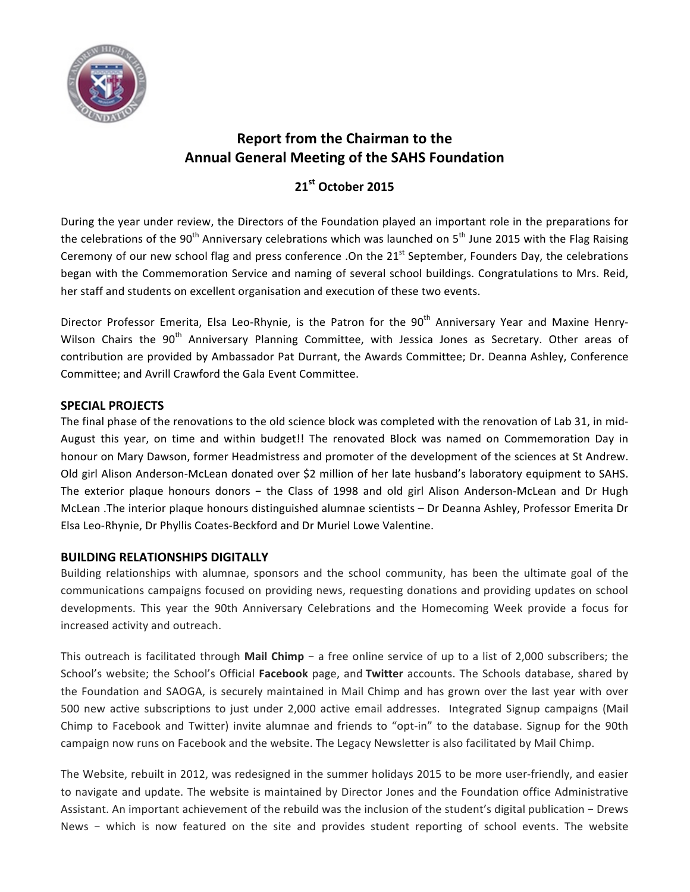

# **Report from the Chairman to the Annual General Meeting of the SAHS Foundation**

# **21st October 2015**

During the year under review, the Directors of the Foundation played an important role in the preparations for the celebrations of the 90<sup>th</sup> Anniversary celebrations which was launched on 5<sup>th</sup> June 2015 with the Flag Raising Ceremony of our new school flag and press conference .On the 21<sup>st</sup> September, Founders Day, the celebrations began with the Commemoration Service and naming of several school buildings. Congratulations to Mrs. Reid, her staff and students on excellent organisation and execution of these two events.

Director Professor Emerita, Elsa Leo-Rhynie, is the Patron for the 90<sup>th</sup> Anniversary Year and Maxine Henry-Wilson Chairs the 90<sup>th</sup> Anniversary Planning Committee, with Jessica Jones as Secretary. Other areas of contribution are provided by Ambassador Pat Durrant, the Awards Committee; Dr. Deanna Ashley, Conference Committee; and Avrill Crawford the Gala Event Committee.

## **SPECIAL PROJECTS**

The final phase of the renovations to the old science block was completed with the renovation of Lab 31, in mid-August this year, on time and within budget!! The renovated Block was named on Commemoration Day in honour on Mary Dawson, former Headmistress and promoter of the development of the sciences at St Andrew. Old girl Alison Anderson-McLean donated over \$2 million of her late husband's laboratory equipment to SAHS. The exterior plaque honours donors – the Class of 1998 and old girl Alison Anderson-McLean and Dr Hugh McLean .The interior plaque honours distinguished alumnae scientists - Dr Deanna Ashley, Professor Emerita Dr Elsa Leo-Rhynie, Dr Phyllis Coates-Beckford and Dr Muriel Lowe Valentine.

## **BUILDING RELATIONSHIPS DIGITALLY**

Building relationships with alumnae, sponsors and the school community, has been the ultimate goal of the communications campaigns focused on providing news, requesting donations and providing updates on school developments. This year the 90th Anniversary Celebrations and the Homecoming Week provide a focus for increased activity and outreach.

This outreach is facilitated through Mail Chimp − a free online service of up to a list of 2,000 subscribers; the School's website; the School's Official **Facebook** page, and **Twitter** accounts. The Schools database, shared by the Foundation and SAOGA, is securely maintained in Mail Chimp and has grown over the last year with over 500 new active subscriptions to just under 2,000 active email addresses. Integrated Signup campaigns (Mail Chimp to Facebook and Twitter) invite alumnae and friends to "opt-in" to the database. Signup for the 90th campaign now runs on Facebook and the website. The Legacy Newsletter is also facilitated by Mail Chimp.

The Website, rebuilt in 2012, was redesigned in the summer holidays 2015 to be more user-friendly, and easier to navigate and update. The website is maintained by Director Jones and the Foundation office Administrative Assistant. An important achievement of the rebuild was the inclusion of the student's digital publication − Drews News – which is now featured on the site and provides student reporting of school events. The website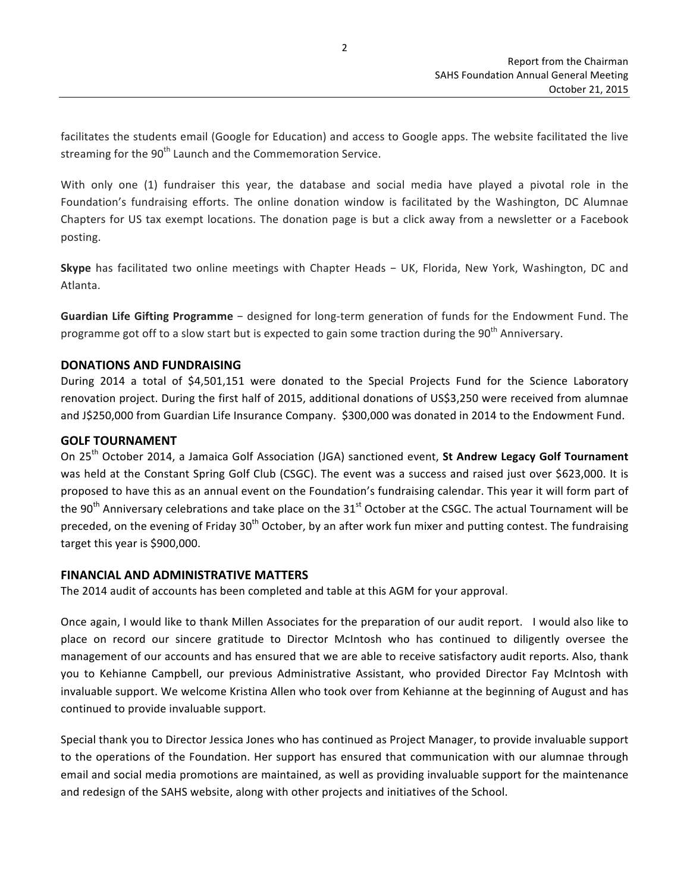facilitates the students email (Google for Education) and access to Google apps. The website facilitated the live streaming for the 90<sup>th</sup> Launch and the Commemoration Service.

With only one (1) fundraiser this year, the database and social media have played a pivotal role in the Foundation's fundraising efforts. The online donation window is facilitated by the Washington, DC Alumnae Chapters for US tax exempt locations. The donation page is but a click away from a newsletter or a Facebook posting.

**Skype** has facilitated two online meetings with Chapter Heads − UK, Florida, New York, Washington, DC and Atlanta.

Guardian Life Gifting Programme − designed for long-term generation of funds for the Endowment Fund. The programme got off to a slow start but is expected to gain some traction during the 90<sup>th</sup> Anniversary.

#### **DONATIONS AND FUNDRAISING**

During 2014 a total of \$4,501,151 were donated to the Special Projects Fund for the Science Laboratory renovation project. During the first half of 2015, additional donations of US\$3,250 were received from alumnae and J\$250,000 from Guardian Life Insurance Company. \$300,000 was donated in 2014 to the Endowment Fund.

#### **GOLF TOURNAMENT**

On 25<sup>th</sup> October 2014, a Jamaica Golf Association (JGA) sanctioned event, **St Andrew Legacy Golf Tournament** was held at the Constant Spring Golf Club (CSGC). The event was a success and raised just over \$623,000. It is proposed to have this as an annual event on the Foundation's fundraising calendar. This year it will form part of the  $90<sup>th</sup>$  Anniversary celebrations and take place on the  $31<sup>st</sup>$  October at the CSGC. The actual Tournament will be preceded, on the evening of Friday 30<sup>th</sup> October, by an after work fun mixer and putting contest. The fundraising target this year is \$900,000.

#### **FINANCIAL AND ADMINISTRATIVE MATTERS**

The 2014 audit of accounts has been completed and table at this AGM for your approval.

Once again, I would like to thank Millen Associates for the preparation of our audit report. I would also like to place on record our sincere gratitude to Director McIntosh who has continued to diligently oversee the management of our accounts and has ensured that we are able to receive satisfactory audit reports. Also, thank you to Kehianne Campbell, our previous Administrative Assistant, who provided Director Fay McIntosh with invaluable support. We welcome Kristina Allen who took over from Kehianne at the beginning of August and has continued to provide invaluable support.

Special thank you to Director Jessica Jones who has continued as Project Manager, to provide invaluable support to the operations of the Foundation. Her support has ensured that communication with our alumnae through email and social media promotions are maintained, as well as providing invaluable support for the maintenance and redesign of the SAHS website, along with other projects and initiatives of the School.